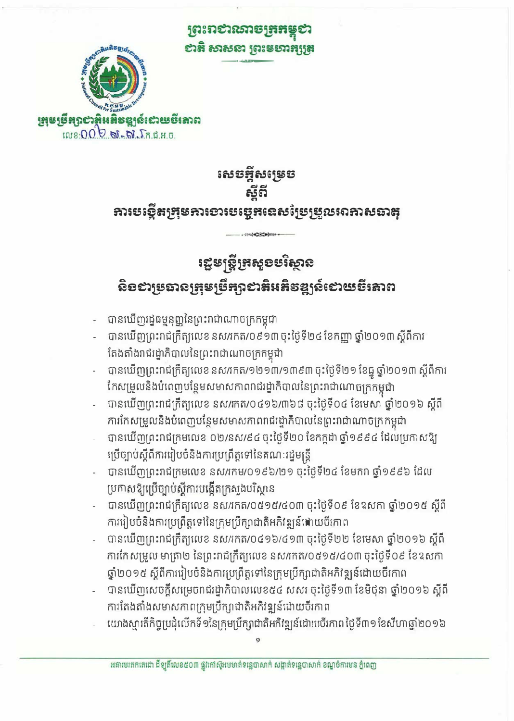<u>ព្រះរាស់រសាចក្រកន្</u> សង់ សាសនា ព្រះមហាគ្សត្រ



សេទអ្អីសម្រេទ ธ์ดี ភារបច្ចើតក្រុមភារខារបច្ចេកនេសថ្ងៃប្រុប្លយរោសឆាតុ

# ឡេមស្ត្រីគ្រសួខមរិស្ថាន ຣີ້ອອາຍຸຮອນອົງສະກູຮຶກຖາອາສິນສິອຊູງລ໌ເອາເຮຮຶ່ງສາຕ

-11-1409044

- បានឃើញរដ្ឋធម្មនុញ្ញនៃព្រះរាជាណាចក្រកម្ពុជា

ប្រកាសឱ្យប្រើច្បាប់ស្តីការបង្កើតក្រសួងបរិស្ថាន

- បានឃើញព្រះរាជក្រឹត្យលេខនស/រកត/០៩១៣ចុះថ្ងៃទី២៤ ខែកញ្ញា ឆ្នាំ២០១៣ ស្តីពីការ តែងតាំងរាជរដ្នាភិបាលនៃព្រះរាជាណាចក្រកម្ពុជា
- 
- បានឃើញព្រះរាជក្រឹត្យលេខ នស/រកត/១២១៣/១៣៩៣ ចុះថ្ងៃទី២១ ខែធ្នូ ឆ្នាំ២០១៣ ស្តីពីការ
- បានឃើញព្រះរាជក្រឹត្យលេខ នស/រកត/០៤១៦/៣៦៨ ចុះថ្ងៃទី០៤ ខែមេសា ឆ្នាំ២០១៦ ស្តីពី
- ការកែសម្រួលនិងបំពេញបន្ថែមសមាសកាពពជរដ្ឋាភិបាលនៃព្រះរាជាណាចក្រកម្ពុជា
- ប្រើច្បាប់ស្តីពីការរៀបចំនិងការប្រព្រឹត្តទៅនៃគណៈរដ្ឋមន្ត្រី

បានឃើញព្រះរាជក្រមលេខ នស/រកម/០១៩៦/២១ ចុះថ្ងៃទី២៤ ខែមករា ឆ្នាំ១៩៩៦ ដែល

បានឃើញព្រះរាជក្រឹត្យលេខ នស/រកត/០៥១៥/៤០៣ ចុះថ្ងៃទី០៩ ខែឧសកា ឆ្នាំ២០១៥ ស្តីពី

បានឃើញព្រះរាជក្រឹត្យលេខ នស/រកត/០៤១៦/៤១៣ ចុះថ្ងៃទី២២ ខែមេសា ឆ្នាំ២០១៦ ស្តីពី ការកែសម្រួល មាត្រា២ នៃព្រះរាជក្រឹត្យលេខ នស/កេត/០៥១៥/៤០៣ ចុះថ្ងៃទី០៩ ខែឧសកា

បានឃើញសេចក្តីសម្រេចរាជរដ្ឋាភិបាលលេខ៥៤ សសរ ចុះថ្ងៃទី១៣ ខែមិថុនា ឆ្នាំ២០១៦ ស្តីពី

យោងស្មារតីកិច្ចប្រជុំលើកទី១នៃក្រុមប្រឹក្សាជាតិអកិវឌ្ឍន៍ដោយបីរកាព ថ្ងៃទី៣១ ខែសីហាឆ្នាំ២០១៦

- បានឃើញព្រះរាជក្រមលេខ ០២/នស/៩៤ ចុះថ្ងៃទី២០ ខែកក្កដា ឆ្នាំ១៩៩៤ ដែលប្រកាសឱ្យ
- 
- 
- 
- 
- 
- 
- 

ការរៀបចំនិងការប្រព្រឹត្តទៅនៃក្រុមប្រឹក្សាជាតិអភិវឌ្ឍន៍ដោយចីកោព

ការតែងតាំងសមាសកាពក្រុមប្រឹក្សាជាតិអភិវឌ្ឍន៍ដោយចីរកាព

ឆ្នាំ២០១៥ ស្តីពីការរៀបចំនិងការប្រព្រឹត្តទៅនៃក្រុមប្រឹក្សាជាតិអភិវឌ្ឍន៍ដោយចីរកាព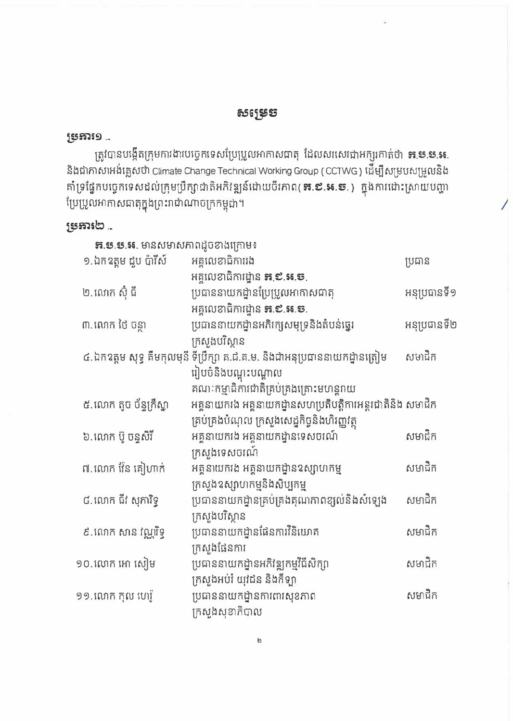## សម្រេទ

### ម្រអារ១ ..

ត្រូវបានបង្កើតក្រុមការងារបច្ចេកទេសប្រែប្រួលអាកាសធាតុ ដែលសរសេរជាអក្សរកាត់ថា **គ.ម.ម.អ.** និងជាភាសាអង់គ្លេសថា Climate Change Technical Working Group ( CCTWG ) ដើម្បីសម្របសម្រួលនិង គាំទ្រផ្នែកបច្ចេកទេសដល់ក្រុមប្រឹក្សាជាតិអភិវឌ្ឍន៍ដោយចីរកាព( **ន.ខ.អ.ទ.**) ក្នុងការដោះស្រាយបញ្ហា ប្រែប្រួលអាកាសជាតុក្នុងព្រះរាជាណាចក្រកម្ពុជា។

## ស្រុការ២..

| <b>ភ.ម.ម.អ.</b> មានសមាសភាពដូចខាងក្រោម៖ |                                                                             |              |
|----------------------------------------|-----------------------------------------------------------------------------|--------------|
| ១.ឯកឧត្តម ជួប ប៉ារីស៍                  | អគ្គលេខាធិការរង                                                             | ប្រធាន       |
|                                        | អគ្គលេខាធិការដ្ឋាន <b>គ.៩.អ.ទ</b> .                                         |              |
| ២.លោក ស៊ុំ ជី                          | ប្រធាននាយកដ្ឋានប្រែប្រួលអាកាសជាតុ                                           | អនុប្រធានទី១ |
|                                        | អគ្គលេខាធិការដ្ឋាន <b>គ.៩.អ.ច.</b>                                          |              |
| ៣. លោក ថៃ ចន្ថា                        | ប្រជាននាយកដ្ឋានអភិរក្សសមុទ្រនិងតំបន់ឆ្នេរ                                   | អនុប្រធានទី២ |
|                                        | ក្រសួងបរិស្ថាន                                                              |              |
|                                        | ៤.ឯកឧត្តម សុទ្ធ គឹមកុលមុនី ទីប្រឹក្សា គ.ជ.គ.ម. និងជាអនុប្រធាននាយកដ្ឋានត្រៀម | សមាជិក       |
|                                        | រៀបចំនិងបណ្តុះបណ្តាល                                                        |              |
|                                        | គណៈកម្មាធិការជាតិគ្រប់គ្រងគ្រោះមហន្តរាយ                                     |              |
| ៥.លោក តូច ច័ន្ទក្រឹស្នា                | អគ្គនាយករង អគ្គនាយកដ្ឋានសហប្រតិបត្តិការអន្តរជាតិនិង សមាជិក                  |              |
|                                        | គ្រប់គ្រងបំណុល ក្រសួងសេដ្ឋកិច្ចនិងហិរញ្ញវត្ថុ                               |              |
| ៦.លោក ប៊ូ ចន្ទសិរី                     | អគ្គនាយកងេ អគ្គនាយកដ្ឋានទេសចរណ៍                                             | សមាជិក       |
|                                        | ក្រសួងទេសចរណ៍                                                               |              |
| ៧.លោក វ៉ែន គៀហាក់                      | អគ្គនាយករង អគ្គនាយកដ្ឋានឧស្សាហកម្ម                                          | សមាជិក       |
|                                        | ក្រសួងឧស្សាហកម្មនិងសិប្បកម្ម                                                |              |
| ៨.លោក ជីវ សុភារិទ្ធ                    | ប្រធាននាយកដ្ឋានគ្រប់គ្រងគុណភាពខ្យល់និងសំឡេង                                 | សមាជិក       |
|                                        | ក្រសួងបរិស្ថាន                                                              |              |
| ៩.ណេក សាន វណ្ណវិទ្ធ                    | ប្រធាននាយកដ្ឋានផែនការវិនិយោគ                                                | សមាជិក       |
|                                        | ក្រសួងផែនការ                                                                |              |
| ១០.លោក អោ សៀម                          | ប្រធាននាយកដ្ឋានអភិវឌ្ឍកម្មវិធីសិក្សា                                        | សមាជិក       |
|                                        | ក្រសួងអប់រំ យុវជន និងកីឡា                                                   |              |
| ១១. លោក កុល ហេរ៉ូ                      | ប្រធាននាយកដ្ឋានការពារសុខភាព                                                 | សមាជិក       |
|                                        | ក្រសួងសុខាភិបាល                                                             |              |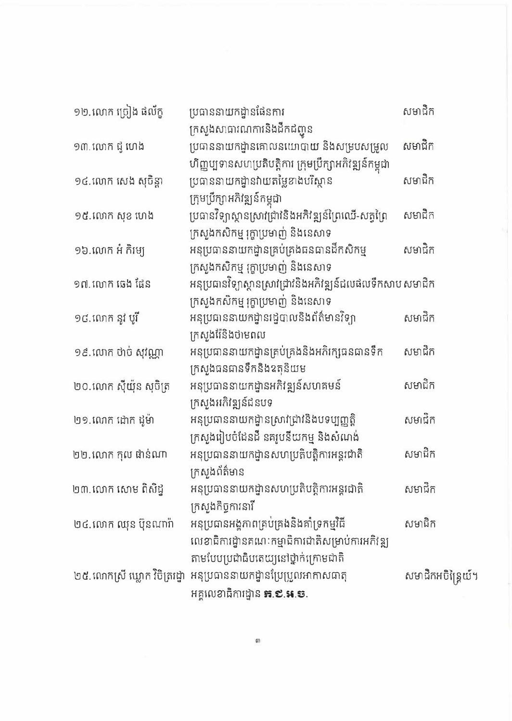| ១២.លោក ច្រៀង ផល័ក្ខ    | ប្រធាននាយកដ្ឋានផែនការ                                               | សមាជិក             |
|------------------------|---------------------------------------------------------------------|--------------------|
|                        | ក្រសួងសាធារណការនិងដឹកជញ្ជូន                                         |                    |
| ១៣. លោក ជូ ហេង         | ប្រធាននាយកដ្ឋានគោលនយោបាយ និងសម្របសម្រួល                             | សមាជិក             |
|                        | ហិញ្ញប្បទានសហប្រតិបត្តិការ ក្រុមប្រឹក្សាអភិវឌ្ឍន៍កម្ពុជា            |                    |
| ១៤.លោក សេង សុចិន្តា    | ប្រធាននាយកដ្ឋានវាយតម្លៃខាងបរិស្ថាន                                  | សមាជិក             |
|                        | ក្រុមប្រឹក្សាអភិវឌ្ឍន៍កម្ពុជា                                       |                    |
| ១៥.លោក សុខ ហេង         | ប្រធានវិទ្យាស្ថានស្រាវជ្រាវនិងអភិវឌ្ឍន៍ព្រៃឈើ-សត្វព្រៃ              | សមាជិក             |
|                        | ក្រសួងកសិកម្ម រុក្ខាប្រមាញ់ និងនេសាទ                                |                    |
| ១៦.លោក អំ កិម្បេ       | អនុប្រធាននាយកដ្ឋានគ្រប់គ្រងធនធានដឹកសិកម្ម                           | សមាជិក             |
|                        | ក្រសួងកសិកម្ម រុក្ខាប្រមាញ់ និងនេសាទ                                |                    |
| ១៧. លោក ឆេង ផែន        | អនុប្រធានវិទ្យាស្ថានស្រាវជ្រាវនិងអភិវឌ្ឍន៍ជលផលទឹកសាប សមាជិក         |                    |
|                        | ក្រសួងកសិកម្ម រុក្ខាប្រមាញ់ និងនេសាទ                                |                    |
| ១៨.លោក នូវ បូរី        | អនុប្រធាននាយកដ្ឋានរដ្ឋបាលនិងព័ត៌មានវិទ្យា                           | សមាជិក             |
|                        | ក្រសួងរ៉ែនិងថាមពល                                                   |                    |
| ១៩.លោក ថាច់ សុវណ្ណា    | អនុប្រធាននាយកដ្ឋានគ្រប់គ្រងនិងអភិរក្សធនធានទឹក                       | សមាជិក             |
|                        | ក្រសួងជនជានទឹកនិងឧតុនិយម                                            |                    |
| ២០.លោក ស៊ីយ៉ុន សុចិត្រ | អនុប្រធាននាយកដ្ឋានអភិវឌ្ឍន៍សហគមន៍                                   | សមាជិក             |
|                        | ក្រសួងអភិវឌ្ឍន៍ជនបទ                                                 |                    |
| ២១.ណេក ដោក ដូម៉ា       | អនុប្រធាននាយកដ្ឋានស្រាវជ្រាវនិងបទប្បញ្ញត្តិ                         | សមាជិក             |
|                        | ក្រសួងរៀបចំដែនដី នគរូបនីយកម្ម និងសំណង់                              |                    |
| ២២. លោក កុល ផាន់ណា     | អនុប្រធាននាយកដ្ឋានសហប្រតិបត្តិការអន្តរជាតិ                          | សមាជិក             |
|                        | ក្រសួងព័ត៌មាន                                                       |                    |
| ២៣.លោក សោម ពិសិដ្ធ     | អនុប្រធាននាយកដ្ឋានសហប្រតិបត្តិការអន្តរជាតិ                          | សមាជិក             |
|                        | ក្រសួងកិច្ចការនារី                                                  |                    |
| ២៤.លោក ឈុន ប៊ុនណារ៉ា   | អនុប្រធានអង្គភាពគ្រប់គ្រងនិងគាំទ្រកម្មវិធី                          | សមាជិក             |
|                        | លេខាជិការដ្ឋានគណៈកម្មាជិការជាតិសម្រាប់ការអភិវឌ្ឍ                    |                    |
|                        | តាមបែបប្រជាធិបតេយ្យនៅថ្នាក់ក្រោមជាតិ                                |                    |
|                        | ២៥.លោកស្រី ឃ្លោក វិចិត្ររដ្ឋា  អនុប្រធាននាយកដ្ឋានប្រែប្រួលអាកាសធាតុ | សមាជិកអចិន្ត្រៃយ៍។ |
|                        | អគ្គលេខាធិការដ្ឋាន <b>គ.៩.អ.ច.</b>                                  |                    |

 $\mathsf{m}$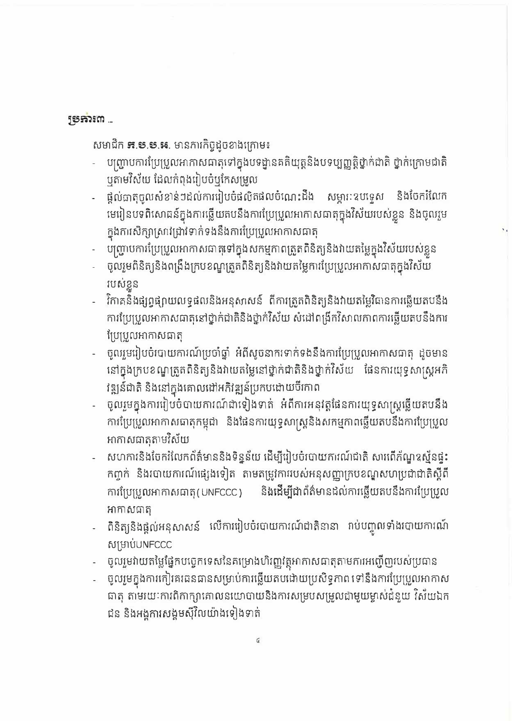## **ស្រុករិះយ**

សមាជិក **ន.ម.ម.អ.** មានភារកិច្ចដូចខាងក្រោម៖

- បញ្ជ្រាបការប្រែប្រួលអាកាសធាតុទៅក្នុងបទដ្ឋានគតិយុត្តនិងបទប្បញ្ញត្តិថ្នាក់ជាតិ ថ្នាក់ក្រោមជាតិ ឬតាមវិស័យ ដែលកំពុងរៀបចំឬកែសម្រួល
- ផ្តល់ជាតុចូលសំខាន់ៗដល់ការរៀបចំផលិតផលចំណេះដឹង សម្ភារៈឧបទ្ទេស និងចែករំលែក មេរៀនបទពិសោធន៍ក្នុងការឆ្លើយតបនឹងការប្រែប្រួលអាកាសធាតុក្នុងវិស័យរបស់ខ្លួន និងចូលរួម ក្នុងការសិក្សាស្រាវជ្រាវទាក់ទងនឹងការប្រែប្រួលអាកាសធាតុ
- បញ្ជ្រាបការប្រែប្រួលអាកាសជាតុទៅក្នុងសកម្មកាពត្រួតពិនិត្យនិងវាយតម្លៃក្នុងវិស័យរបស់ខ្លួន
- ចូលរួមពិនិត្យនិងពង្រឹងក្របខណ្ឌត្រួតពិនិត្យនិងវាយតម្លៃការប្រែប្រួលអាកាសធាតុក្នុងវិស័យ របស់ខ្លួន
- វិកាគនិងផ្សព្វផ្សាយលទ្ធផលនិងអនុសាសន៍ ពីការត្រួតពិនិត្យនិងវាយតម្លៃវិធានការឆ្លើយតបនឹង ការប្រែប្រួលអាកាសធាតុនៅថ្នាក់ជាតិនិងថ្នាក់វិស័យ សំដៅពង្រីកវិសាលកាពការឆ្លើយតបនឹងការ ប្រែប្រួលអាកាសធាតុ
- ចូលរួមរៀបចំរបាយការណ៍ប្រចាំឆ្នាំ អំពីសូចនាករទាក់ទងនឹងការប្រែប្រួលអាកាសធាតុ ដូចមាន នៅក្នុងក្របខណ្ឌត្រួតពិនិត្យនិងវាយតម្លៃនៅថ្នាក់ជាតិនិងថ្នាក់វិស័យ ផែនការយុទ្ធសាស្ត្រអភិ វឌ្ឍន៍ជាតិ និងនៅក្នុងគោលដៅអភិវឌ្ឍន៍ប្រកបដោយបីកោព
- ចូលរួមក្នុងការរៀបចំបាយការណ៍ជាទៀងទាត់ អំពីការអនុវត្តផែនការយុទ្ធសាស្ត្រឆ្លើយតបនឹង ការប្រែប្រួលអាកាសធាតុកម្ពុជា និងផែនការយុទ្ធសាស្ត្រនិងសកម្មកាពឆ្លើយតបនឹងការប្រែប្រួល អាកាសធាតុតាមវិស័យ
- សហការនិងចែករំលែកព័ត៌មាននិងទិន្នន័យ ដើម្បីរៀបចំរបាយការណ៍ជាតិ សារពើភ័ណ្ឌឧស្ម័នផ្ទះ កព្ចាក់ និងរបាយការណ៍ផ្សេងទៀត តាមតម្រូវការរបស់អនុសញ្ញាក្របខណ្ឌសហប្រជាជាតិស្តីពី និងដើម្បីជាព័ត៌មានដល់ការឆ្លើយតបនឹងការប្រែប្រួល ការប្រែប្រួលអាកាសធាតុ(UNFCCC) អាកាសធាតុ
- ពិនិត្យនិងផ្តល់អនុសាសន៍ លើការរៀបចំរបាយការណ៍ជាតិនានា រាប់បញ្ចូលទាំងរបាយការណ៍ សម្រាប់UNFCCC
- ចូលរួមវាយតម្លៃផ្នែកបច្ចេកទេសនៃគម្រោងហិរញ្ញវត្ថុអាកាសជាតុតាមការអញ្ជើញរបស់ប្រជាន
- ចូលរួមក្នុងការកៀរគរធនធានសម្រាប់ការឆ្លើយតបដោយប្រសិទ្ធភាព ទៅនឹងការប្រែប្រួលអាកាស ធាតុ តាមរយៈការពិកាក្សាគោលនយោបាយនិងការសម្របសម្រួលជាមួយម្ចាស់ដំនួយ វិស័យឯក ជន និងអង្គការសង្គមស៊ីវិលយ៉ាងទៀងទាត់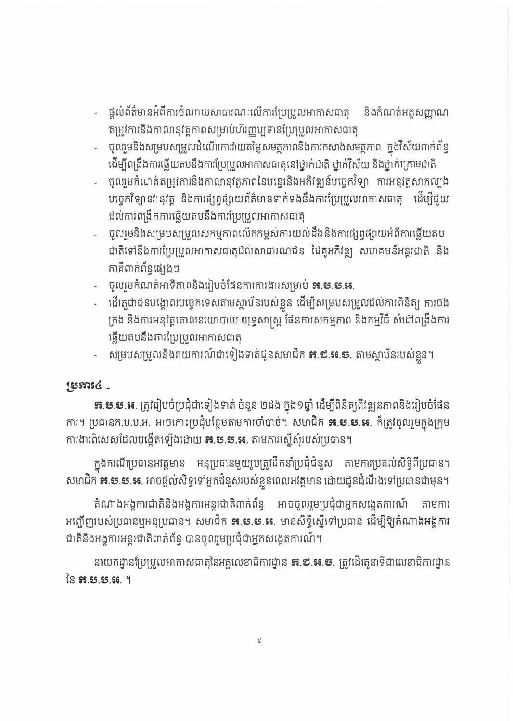- ផ្តល់ព័ត៌មានអំពីការចំណាយសាធារណៈលើការប្រែប្រួលអាកាសធាតុ និងកំណត់អត្តសញ្ញាណ តម្រូវការនិងកាលានុវត្តភាពសម្រាប់ហិរញ្ញប្បទានប្រែប្រួលអាកាសធាតុ
- ចូលរួមនិងសម្របសម្រួលដំណើរការវាយតម្លៃសមត្ថកាពនិងការកសាងសមត្ថភាព ក្នុងវិស័យពាក់ព័ន្ធ ដើម្បីពង្រឹងការឆ្លើយតបនឹងការប្រែប្រួលអាកាសធាតុនៅថ្នាក់ជាតិ ថ្នាក់វិស័យ និងថ្នាក់ក្រោមជាតិ
- ចូលរួមកំណត់តម្រូវការនិងកាលានុវត្តភាពនៃបន្ទេរនិងអភិវឌ្ឍន៍បច្ចេកវិទ្យា ការអនុវត្តសាកល្បង បច្ចេកវិទ្យានាំនុវត្ត និងការផ្សព្វផ្សាយព័ត៌មានទាក់ទងនឹងការប្រែប្រួលអាកាសធាតុ ដើម្បីជួយ ដល់ការពង្រឹកការឆ្លើយតបនឹងការប្រែប្រួលអាកាសធាតុ
- ចូលមេនិងសម្របសម្រួលសកម្មកាពលើកកម្ពស់ការយល់ដឹងនិងការផ្សព្វផ្សាយអំពីការឆ្លើយតប ជាតិទៅនឹងការប្រែប្រួលអាកាសធាតុដល់សាធារណជន ដៃគូអភិវឌ្ឍ សហគមន៍អន្តរជាតិ និង ភាគីពាក់ព័ន្ធផ្សេងៗ
- ចូលរួមកំណត់អាទិភាពនិងរៀបចំផែនការការងារសម្រាប់ **គ.ម.ម.អ.**
- ដើរតួជាជនបង្គោលបច្ចេកទេសតាមស្តាប័នរបស់ខ្លួន ដើម្បីសម្របសម្រួលដល់ការពិនិត្យ ការចង ក្រង និងការអនុវត្តគោលនយោបាយ យុទ្ធសាស្ត្រ ផែនការសកម្មភាព និងកម្មវិធី សំដៅពង្រឹងការ ឆ្លើយតបនឹងភារប្រែប្រួលអាកាសធាតុ
- សម្របសម្រួលនិងរាយការណ៍ជាទៀងទាត់ជូនសមាជិក **គ.៩.ស.ទ**. តាមស្ថាប័នរបស់ខ្លួន។

## **SESAIC...**

**នា.ម.ម.ម.** ត្រូវរៀបចំប្រជុំជាទៀងទាត់ ចំនួន ២ដង ក្នុង១<mark>ថ្នាំ ដើម្បី</mark>ពិនិត្យពីវឌ្ឍនភាពនិងរៀបចំផែន ការ។ ប្រធានក.ប.ប.អ. អាចកោះប្រជុំបន្ថែមតាមការចាំបាច់។ សមាជិក **គ.ម.ម.អ**. ក៏ត្រូវចូលរួមក្នុងក្រុម ការងារពិសេសដែលបង្កើតឡើងដោយ **គ.ម.ម.ន.** តាមការស្នើសុំរបស់ប្រធាន។

ក្នុងករណីប្រធានអវត្តមាន អនុប្រធានមួយរូបត្រូវដឹកនាំប្រជុំជំនួស តាមការប្រគល់សិទ្ធិពីប្រធាន។ សមាជិក **<del>ន.ទ.ទ.ន.</del> អា**ចផ្តល់សិទ្ធទៅអ្នកជំនួសរបស់ខ្លួនពេលអវត្តមាន ដោយជូនដំណឹងទៅប្រធានជាមុន។

តំណាងអង្គការជាតិនិងអង្គការអន្តរជាតិពាក់ព័ន្ធ អាចចូលរួមប្រជុំជាអ្នកសង្កេតការណ៍ តាមការ អញ្ជើញរបស់ប្រធានឬអនុប្រធាន។ សមាជិក **គ.ម.ម.ស.** មានសិទ្ធិស្នើទៅប្រធាន ដើម្បីឱ្យតំណាងអង្គការ ជាតិនិងអង្គការអន្តរជាតិពាក់ព័ន្ធ បានចូលរួមប្រជុំជាអ្នកសង្កេតការណ៍។

នាយកដ្ឋានប្រែប្រួលអាកាសធាតុនៃអគ្គលេខាធិការដ្ឋាន **<del>គ</del>.៩.ន.ទ**. ត្រូវដើរតូនាទីជាលេខាធិការដ្ឋាន នៃ **គ.ម.ម.អ**. ។